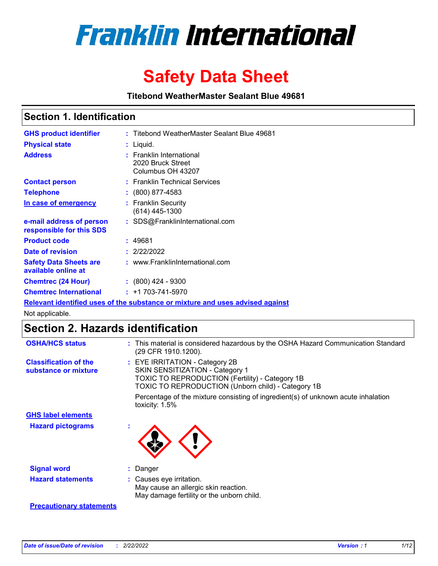

# **Safety Data Sheet**

**Titebond WeatherMaster Sealant Blue 49681**

### **Section 1. Identification**

| <b>GHS product identifier</b>                        | : Titebond WeatherMaster Sealant Blue 49681                                   |
|------------------------------------------------------|-------------------------------------------------------------------------------|
| <b>Physical state</b>                                | : Liquid.                                                                     |
| <b>Address</b>                                       | : Franklin International<br>2020 Bruck Street<br>Columbus OH 43207            |
| <b>Contact person</b>                                | : Franklin Technical Services                                                 |
| <b>Telephone</b>                                     | $\colon$ (800) 877-4583                                                       |
| In case of emergency                                 | : Franklin Security<br>(614) 445-1300                                         |
| e-mail address of person<br>responsible for this SDS | : SDS@FranklinInternational.com                                               |
| <b>Product code</b>                                  | : 49681                                                                       |
| Date of revision                                     | : 2/22/2022                                                                   |
| <b>Safety Data Sheets are</b><br>available online at | : www.FranklinInternational.com                                               |
| <b>Chemtrec (24 Hour)</b>                            | $: (800)$ 424 - 9300                                                          |
| <b>Chemtrec International</b>                        | $: +1703 - 741 - 5970$                                                        |
|                                                      | Relevant identified uses of the substance or mixture and uses advised against |

Not applicable.

## **Section 2. Hazards identification**

| <b>OSHA/HCS status</b>                               | : This material is considered hazardous by the OSHA Hazard Communication Standard<br>(29 CFR 1910.1200).                                                                                 |
|------------------------------------------------------|------------------------------------------------------------------------------------------------------------------------------------------------------------------------------------------|
| <b>Classification of the</b><br>substance or mixture | : EYE IRRITATION - Category 2B<br>SKIN SENSITIZATION - Category 1<br><b>TOXIC TO REPRODUCTION (Fertility) - Category 1B</b><br><b>TOXIC TO REPRODUCTION (Unborn child) - Category 1B</b> |
|                                                      | Percentage of the mixture consisting of ingredient(s) of unknown acute inhalation<br>toxicity: $1.5\%$                                                                                   |
| <b>GHS label elements</b>                            |                                                                                                                                                                                          |
| <b>Hazard pictograms</b>                             |                                                                                                                                                                                          |
| <b>Signal word</b>                                   | : Danger                                                                                                                                                                                 |
| <b>Hazard statements</b>                             | : Causes eye irritation.<br>May cause an allergic skin reaction.<br>May damage fertility or the unborn child.                                                                            |
| <b>Precautionary statements</b>                      |                                                                                                                                                                                          |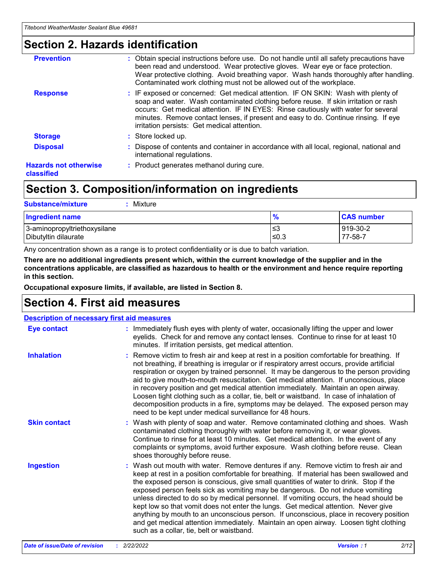### **Section 2. Hazards identification**

| <b>Prevention</b>                          | : Obtain special instructions before use. Do not handle until all safety precautions have<br>been read and understood. Wear protective gloves. Wear eye or face protection.<br>Wear protective clothing. Avoid breathing vapor. Wash hands thoroughly after handling.<br>Contaminated work clothing must not be allowed out of the workplace.                                                        |
|--------------------------------------------|------------------------------------------------------------------------------------------------------------------------------------------------------------------------------------------------------------------------------------------------------------------------------------------------------------------------------------------------------------------------------------------------------|
| <b>Response</b>                            | : IF exposed or concerned: Get medical attention. IF ON SKIN: Wash with plenty of<br>soap and water. Wash contaminated clothing before reuse. If skin irritation or rash<br>occurs: Get medical attention. IF IN EYES: Rinse cautiously with water for several<br>minutes. Remove contact lenses, if present and easy to do. Continue rinsing. If eye<br>irritation persists: Get medical attention. |
| <b>Storage</b>                             | : Store locked up.                                                                                                                                                                                                                                                                                                                                                                                   |
| <b>Disposal</b>                            | : Dispose of contents and container in accordance with all local, regional, national and<br>international regulations.                                                                                                                                                                                                                                                                               |
| <b>Hazards not otherwise</b><br>classified | : Product generates methanol during cure.                                                                                                                                                                                                                                                                                                                                                            |
|                                            |                                                                                                                                                                                                                                                                                                                                                                                                      |

## **Section 3. Composition/information on ingredients**

| <b>Substance/mixture</b><br>Mixture                  |               |                     |
|------------------------------------------------------|---------------|---------------------|
| <b>Ingredient name</b>                               | $\frac{9}{6}$ | <b>CAS number</b>   |
| 3-aminopropyltriethoxysilane<br>Dibutyltin dilaurate | ≤3<br>≤0.3    | 919-30-2<br>77-58-7 |

Any concentration shown as a range is to protect confidentiality or is due to batch variation.

**There are no additional ingredients present which, within the current knowledge of the supplier and in the concentrations applicable, are classified as hazardous to health or the environment and hence require reporting in this section.**

**Occupational exposure limits, if available, are listed in Section 8.**

### **Section 4. First aid measures**

| <b>Description of necessary first aid measures</b> |                                                                                                                                                                                                                                                                                                                                                                                                                                                                                                                                                                                                                                                                                                                                                                           |
|----------------------------------------------------|---------------------------------------------------------------------------------------------------------------------------------------------------------------------------------------------------------------------------------------------------------------------------------------------------------------------------------------------------------------------------------------------------------------------------------------------------------------------------------------------------------------------------------------------------------------------------------------------------------------------------------------------------------------------------------------------------------------------------------------------------------------------------|
| <b>Eye contact</b>                                 | : Immediately flush eyes with plenty of water, occasionally lifting the upper and lower<br>eyelids. Check for and remove any contact lenses. Continue to rinse for at least 10<br>minutes. If irritation persists, get medical attention.                                                                                                                                                                                                                                                                                                                                                                                                                                                                                                                                 |
| <b>Inhalation</b>                                  | : Remove victim to fresh air and keep at rest in a position comfortable for breathing. If<br>not breathing, if breathing is irregular or if respiratory arrest occurs, provide artificial<br>respiration or oxygen by trained personnel. It may be dangerous to the person providing<br>aid to give mouth-to-mouth resuscitation. Get medical attention. If unconscious, place<br>in recovery position and get medical attention immediately. Maintain an open airway.<br>Loosen tight clothing such as a collar, tie, belt or waistband. In case of inhalation of<br>decomposition products in a fire, symptoms may be delayed. The exposed person may<br>need to be kept under medical surveillance for 48 hours.                                                       |
| <b>Skin contact</b>                                | : Wash with plenty of soap and water. Remove contaminated clothing and shoes. Wash<br>contaminated clothing thoroughly with water before removing it, or wear gloves.<br>Continue to rinse for at least 10 minutes. Get medical attention. In the event of any<br>complaints or symptoms, avoid further exposure. Wash clothing before reuse. Clean<br>shoes thoroughly before reuse.                                                                                                                                                                                                                                                                                                                                                                                     |
| <b>Ingestion</b>                                   | : Wash out mouth with water. Remove dentures if any. Remove victim to fresh air and<br>keep at rest in a position comfortable for breathing. If material has been swallowed and<br>the exposed person is conscious, give small quantities of water to drink. Stop if the<br>exposed person feels sick as vomiting may be dangerous. Do not induce vomiting<br>unless directed to do so by medical personnel. If vomiting occurs, the head should be<br>kept low so that vomit does not enter the lungs. Get medical attention. Never give<br>anything by mouth to an unconscious person. If unconscious, place in recovery position<br>and get medical attention immediately. Maintain an open airway. Loosen tight clothing<br>such as a collar, tie, belt or waistband. |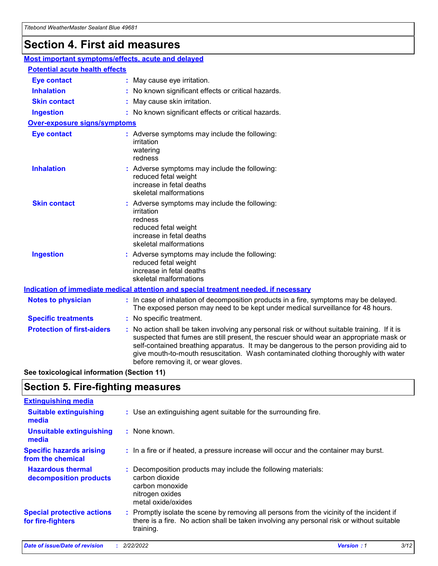## **Section 4. First aid measures**

| Most important symptoms/effects, acute and delayed |  |                                                                                                                                                                                                                                                                                                                                                                                                                 |
|----------------------------------------------------|--|-----------------------------------------------------------------------------------------------------------------------------------------------------------------------------------------------------------------------------------------------------------------------------------------------------------------------------------------------------------------------------------------------------------------|
| <b>Potential acute health effects</b>              |  |                                                                                                                                                                                                                                                                                                                                                                                                                 |
| <b>Eye contact</b>                                 |  | : May cause eye irritation.                                                                                                                                                                                                                                                                                                                                                                                     |
| <b>Inhalation</b>                                  |  | : No known significant effects or critical hazards.                                                                                                                                                                                                                                                                                                                                                             |
| <b>Skin contact</b>                                |  | : May cause skin irritation.                                                                                                                                                                                                                                                                                                                                                                                    |
| <b>Ingestion</b>                                   |  | : No known significant effects or critical hazards.                                                                                                                                                                                                                                                                                                                                                             |
| Over-exposure signs/symptoms                       |  |                                                                                                                                                                                                                                                                                                                                                                                                                 |
| <b>Eye contact</b>                                 |  | : Adverse symptoms may include the following:<br>irritation<br>watering<br>redness                                                                                                                                                                                                                                                                                                                              |
| <b>Inhalation</b>                                  |  | : Adverse symptoms may include the following:<br>reduced fetal weight<br>increase in fetal deaths<br>skeletal malformations                                                                                                                                                                                                                                                                                     |
| <b>Skin contact</b>                                |  | : Adverse symptoms may include the following:<br>irritation<br>redness<br>reduced fetal weight<br>increase in fetal deaths<br>skeletal malformations                                                                                                                                                                                                                                                            |
| <b>Ingestion</b>                                   |  | : Adverse symptoms may include the following:<br>reduced fetal weight<br>increase in fetal deaths<br>skeletal malformations                                                                                                                                                                                                                                                                                     |
|                                                    |  | <b>Indication of immediate medical attention and special treatment needed, if necessary</b>                                                                                                                                                                                                                                                                                                                     |
| <b>Notes to physician</b>                          |  | : In case of inhalation of decomposition products in a fire, symptoms may be delayed.<br>The exposed person may need to be kept under medical surveillance for 48 hours.                                                                                                                                                                                                                                        |
| <b>Specific treatments</b>                         |  | : No specific treatment.                                                                                                                                                                                                                                                                                                                                                                                        |
| <b>Protection of first-aiders</b>                  |  | : No action shall be taken involving any personal risk or without suitable training. If it is<br>suspected that fumes are still present, the rescuer should wear an appropriate mask or<br>self-contained breathing apparatus. It may be dangerous to the person providing aid to<br>give mouth-to-mouth resuscitation. Wash contaminated clothing thoroughly with water<br>before removing it, or wear gloves. |

**See toxicological information (Section 11)**

### **Section 5. Fire-fighting measures**

| <b>Extinguishing media</b>                             |                                                                                                                                                                                                     |
|--------------------------------------------------------|-----------------------------------------------------------------------------------------------------------------------------------------------------------------------------------------------------|
| <b>Suitable extinguishing</b><br>media                 | : Use an extinguishing agent suitable for the surrounding fire.                                                                                                                                     |
| <b>Unsuitable extinguishing</b><br>media               | : None known.                                                                                                                                                                                       |
| <b>Specific hazards arising</b><br>from the chemical   | : In a fire or if heated, a pressure increase will occur and the container may burst.                                                                                                               |
| <b>Hazardous thermal</b><br>decomposition products     | : Decomposition products may include the following materials:<br>carbon dioxide<br>carbon monoxide<br>nitrogen oxides<br>metal oxide/oxides                                                         |
| <b>Special protective actions</b><br>for fire-fighters | : Promptly isolate the scene by removing all persons from the vicinity of the incident if<br>there is a fire. No action shall be taken involving any personal risk or without suitable<br>training. |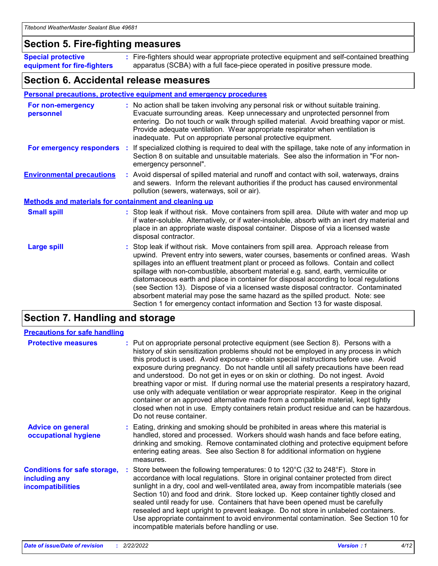### **Section 5. Fire-fighting measures**

**Special protective equipment for fire-fighters** Fire-fighters should wear appropriate protective equipment and self-contained breathing **:** apparatus (SCBA) with a full face-piece operated in positive pressure mode.

### **Section 6. Accidental release measures**

#### **Personal precautions, protective equipment and emergency procedures**

| For non-emergency<br>personnel                               | : No action shall be taken involving any personal risk or without suitable training.<br>Evacuate surrounding areas. Keep unnecessary and unprotected personnel from<br>entering. Do not touch or walk through spilled material. Avoid breathing vapor or mist.<br>Provide adequate ventilation. Wear appropriate respirator when ventilation is<br>inadequate. Put on appropriate personal protective equipment.                                                                                                                                                                                                                                                                                             |
|--------------------------------------------------------------|--------------------------------------------------------------------------------------------------------------------------------------------------------------------------------------------------------------------------------------------------------------------------------------------------------------------------------------------------------------------------------------------------------------------------------------------------------------------------------------------------------------------------------------------------------------------------------------------------------------------------------------------------------------------------------------------------------------|
|                                                              | For emergency responders : If specialized clothing is required to deal with the spillage, take note of any information in<br>Section 8 on suitable and unsuitable materials. See also the information in "For non-<br>emergency personnel".                                                                                                                                                                                                                                                                                                                                                                                                                                                                  |
| <b>Environmental precautions</b>                             | : Avoid dispersal of spilled material and runoff and contact with soil, waterways, drains<br>and sewers. Inform the relevant authorities if the product has caused environmental<br>pollution (sewers, waterways, soil or air).                                                                                                                                                                                                                                                                                                                                                                                                                                                                              |
| <b>Methods and materials for containment and cleaning up</b> |                                                                                                                                                                                                                                                                                                                                                                                                                                                                                                                                                                                                                                                                                                              |
| <b>Small spill</b>                                           | : Stop leak if without risk. Move containers from spill area. Dilute with water and mop up<br>if water-soluble. Alternatively, or if water-insoluble, absorb with an inert dry material and<br>place in an appropriate waste disposal container. Dispose of via a licensed waste<br>disposal contractor.                                                                                                                                                                                                                                                                                                                                                                                                     |
| <b>Large spill</b>                                           | : Stop leak if without risk. Move containers from spill area. Approach release from<br>upwind. Prevent entry into sewers, water courses, basements or confined areas. Wash<br>spillages into an effluent treatment plant or proceed as follows. Contain and collect<br>spillage with non-combustible, absorbent material e.g. sand, earth, vermiculite or<br>diatomaceous earth and place in container for disposal according to local regulations<br>(see Section 13). Dispose of via a licensed waste disposal contractor. Contaminated<br>absorbent material may pose the same hazard as the spilled product. Note: see<br>Section 1 for emergency contact information and Section 13 for waste disposal. |

### **Section 7. Handling and storage**

| <b>Precautions for safe handling</b>                                             |                                                                                                                                                                                                                                                                                                                                                                                                                                                                                                                                                                                                                                                                                                                                                                                                                                                  |
|----------------------------------------------------------------------------------|--------------------------------------------------------------------------------------------------------------------------------------------------------------------------------------------------------------------------------------------------------------------------------------------------------------------------------------------------------------------------------------------------------------------------------------------------------------------------------------------------------------------------------------------------------------------------------------------------------------------------------------------------------------------------------------------------------------------------------------------------------------------------------------------------------------------------------------------------|
| <b>Protective measures</b>                                                       | : Put on appropriate personal protective equipment (see Section 8). Persons with a<br>history of skin sensitization problems should not be employed in any process in which<br>this product is used. Avoid exposure - obtain special instructions before use. Avoid<br>exposure during pregnancy. Do not handle until all safety precautions have been read<br>and understood. Do not get in eyes or on skin or clothing. Do not ingest. Avoid<br>breathing vapor or mist. If during normal use the material presents a respiratory hazard,<br>use only with adequate ventilation or wear appropriate respirator. Keep in the original<br>container or an approved alternative made from a compatible material, kept tightly<br>closed when not in use. Empty containers retain product residue and can be hazardous.<br>Do not reuse container. |
| <b>Advice on general</b><br>occupational hygiene                                 | : Eating, drinking and smoking should be prohibited in areas where this material is<br>handled, stored and processed. Workers should wash hands and face before eating,<br>drinking and smoking. Remove contaminated clothing and protective equipment before<br>entering eating areas. See also Section 8 for additional information on hygiene<br>measures.                                                                                                                                                                                                                                                                                                                                                                                                                                                                                    |
| <b>Conditions for safe storage,</b><br>including any<br><b>incompatibilities</b> | : Store between the following temperatures: 0 to $120^{\circ}$ C (32 to $248^{\circ}$ F). Store in<br>accordance with local regulations. Store in original container protected from direct<br>sunlight in a dry, cool and well-ventilated area, away from incompatible materials (see<br>Section 10) and food and drink. Store locked up. Keep container tightly closed and<br>sealed until ready for use. Containers that have been opened must be carefully<br>resealed and kept upright to prevent leakage. Do not store in unlabeled containers.<br>Use appropriate containment to avoid environmental contamination. See Section 10 for<br>incompatible materials before handling or use.                                                                                                                                                   |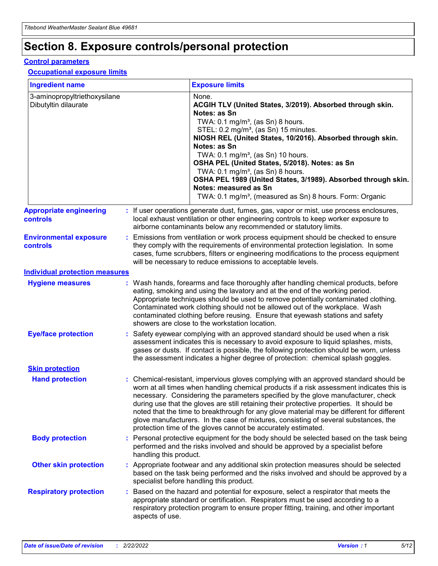## **Section 8. Exposure controls/personal protection**

#### **Control parameters**

#### **Occupational exposure limits**

| <b>Ingredient name</b>                               |    |                                          | <b>Exposure limits</b>                                                                                                                                                                                                                                                                                                                                                                                                                                                                                                                                                                                                 |
|------------------------------------------------------|----|------------------------------------------|------------------------------------------------------------------------------------------------------------------------------------------------------------------------------------------------------------------------------------------------------------------------------------------------------------------------------------------------------------------------------------------------------------------------------------------------------------------------------------------------------------------------------------------------------------------------------------------------------------------------|
| 3-aminopropyltriethoxysilane<br>Dibutyltin dilaurate |    |                                          | None.<br>ACGIH TLV (United States, 3/2019). Absorbed through skin.<br>Notes: as Sn<br>TWA: 0.1 mg/m <sup>3</sup> , (as Sn) 8 hours.<br>STEL: 0.2 mg/m <sup>3</sup> , (as Sn) 15 minutes.<br>NIOSH REL (United States, 10/2016). Absorbed through skin.<br>Notes: as Sn<br>TWA: 0.1 mg/m <sup>3</sup> , (as Sn) 10 hours.<br>OSHA PEL (United States, 5/2018). Notes: as Sn<br>TWA: $0.1 \text{ mg/m}^3$ , (as Sn) 8 hours.<br>OSHA PEL 1989 (United States, 3/1989). Absorbed through skin.<br>Notes: measured as Sn<br>TWA: 0.1 mg/m <sup>3</sup> , (measured as Sn) 8 hours. Form: Organic                           |
| <b>Appropriate engineering</b><br>controls           |    |                                          | : If user operations generate dust, fumes, gas, vapor or mist, use process enclosures,<br>local exhaust ventilation or other engineering controls to keep worker exposure to<br>airborne contaminants below any recommended or statutory limits.                                                                                                                                                                                                                                                                                                                                                                       |
| <b>Environmental exposure</b><br><b>controls</b>     |    |                                          | Emissions from ventilation or work process equipment should be checked to ensure<br>they comply with the requirements of environmental protection legislation. In some<br>cases, fume scrubbers, filters or engineering modifications to the process equipment<br>will be necessary to reduce emissions to acceptable levels.                                                                                                                                                                                                                                                                                          |
| <b>Individual protection measures</b>                |    |                                          |                                                                                                                                                                                                                                                                                                                                                                                                                                                                                                                                                                                                                        |
| <b>Hygiene measures</b>                              |    |                                          | : Wash hands, forearms and face thoroughly after handling chemical products, before<br>eating, smoking and using the lavatory and at the end of the working period.<br>Appropriate techniques should be used to remove potentially contaminated clothing.<br>Contaminated work clothing should not be allowed out of the workplace. Wash<br>contaminated clothing before reusing. Ensure that eyewash stations and safety<br>showers are close to the workstation location.                                                                                                                                            |
| <b>Eye/face protection</b>                           |    |                                          | : Safety eyewear complying with an approved standard should be used when a risk<br>assessment indicates this is necessary to avoid exposure to liquid splashes, mists,<br>gases or dusts. If contact is possible, the following protection should be worn, unless<br>the assessment indicates a higher degree of protection: chemical splash goggles.                                                                                                                                                                                                                                                                  |
| <b>Skin protection</b>                               |    |                                          |                                                                                                                                                                                                                                                                                                                                                                                                                                                                                                                                                                                                                        |
| <b>Hand protection</b>                               |    |                                          | : Chemical-resistant, impervious gloves complying with an approved standard should be<br>worn at all times when handling chemical products if a risk assessment indicates this is<br>necessary. Considering the parameters specified by the glove manufacturer, check<br>during use that the gloves are still retaining their protective properties. It should be<br>noted that the time to breakthrough for any glove material may be different for different<br>glove manufacturers. In the case of mixtures, consisting of several substances, the<br>protection time of the gloves cannot be accurately estimated. |
| <b>Body protection</b>                               |    | handling this product.                   | Personal protective equipment for the body should be selected based on the task being<br>performed and the risks involved and should be approved by a specialist before                                                                                                                                                                                                                                                                                                                                                                                                                                                |
| <b>Other skin protection</b>                         |    | specialist before handling this product. | : Appropriate footwear and any additional skin protection measures should be selected<br>based on the task being performed and the risks involved and should be approved by a                                                                                                                                                                                                                                                                                                                                                                                                                                          |
| <b>Respiratory protection</b>                        | ÷. | aspects of use.                          | Based on the hazard and potential for exposure, select a respirator that meets the<br>appropriate standard or certification. Respirators must be used according to a<br>respiratory protection program to ensure proper fitting, training, and other important                                                                                                                                                                                                                                                                                                                                                         |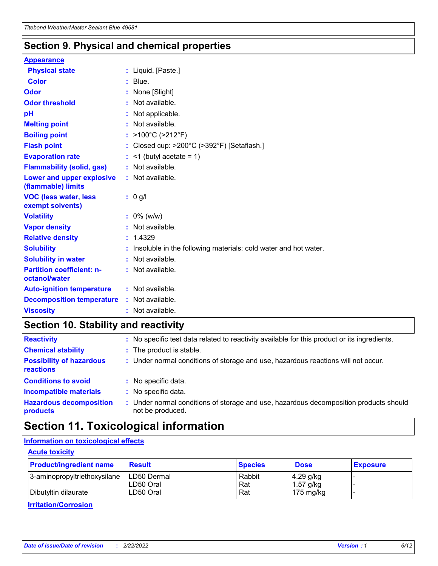### **Section 9. Physical and chemical properties**

#### **Appearance**

| <b>Physical state</b>                             | : Liquid. [Paste.]                                              |
|---------------------------------------------------|-----------------------------------------------------------------|
| Color                                             | $:$ Blue.                                                       |
| Odor                                              | : None [Slight]                                                 |
| <b>Odor threshold</b>                             | : Not available.                                                |
| рH                                                | : Not applicable.                                               |
| <b>Melting point</b>                              | : Not available.                                                |
| <b>Boiling point</b>                              | : >100°C (>212°F)                                               |
| <b>Flash point</b>                                | : Closed cup: $>200^{\circ}$ C ( $>392^{\circ}$ F) [Setaflash.] |
| <b>Evaporation rate</b>                           | $:$ <1 (butyl acetate = 1)                                      |
| <b>Flammability (solid, gas)</b>                  | : Not available.                                                |
| Lower and upper explosive<br>(flammable) limits   | : Not available.                                                |
| <b>VOC (less water, less</b><br>exempt solvents)  | $: 0$ g/l                                                       |
| <b>Volatility</b>                                 | $: 0\%$ (w/w)                                                   |
| <b>Vapor density</b>                              |                                                                 |
|                                                   | : Not available.                                                |
| <b>Relative density</b>                           | : 1.4329                                                        |
| <b>Solubility</b>                                 | Insoluble in the following materials: cold water and hot water. |
| <b>Solubility in water</b>                        | : Not available.                                                |
| <b>Partition coefficient: n-</b><br>octanol/water | $:$ Not available.                                              |
| <b>Auto-ignition temperature</b>                  | : Not available.                                                |
| <b>Decomposition temperature</b>                  | : Not available.                                                |

## **Section 10. Stability and reactivity**

| <b>Reactivity</b>                            |    | : No specific test data related to reactivity available for this product or its ingredients.            |
|----------------------------------------------|----|---------------------------------------------------------------------------------------------------------|
| <b>Chemical stability</b>                    |    | : The product is stable.                                                                                |
| <b>Possibility of hazardous</b><br>reactions |    | : Under normal conditions of storage and use, hazardous reactions will not occur.                       |
| <b>Conditions to avoid</b>                   |    | : No specific data.                                                                                     |
| <b>Incompatible materials</b>                | ٠. | No specific data.                                                                                       |
| <b>Hazardous decomposition</b><br>products   | ÷. | Under normal conditions of storage and use, hazardous decomposition products should<br>not be produced. |

## **Section 11. Toxicological information**

### **Information on toxicological effects**

#### **Acute toxicity**

| <b>Product/ingredient name</b> | <b>Result</b>           | <b>Species</b> | <b>Dose</b>                | <b>Exposure</b> |
|--------------------------------|-------------------------|----------------|----------------------------|-----------------|
| 3-aminopropyltriethoxysilane   | <b>ILD50 Dermal</b>     | Rabbit         | 4.29 g/kg                  |                 |
| Dibutyltin dilaurate           | ILD50 Oral<br>LD50 Oral | Rat<br>Rat     | $1.57$ g/kg<br>175 $mg/kg$ |                 |
|                                |                         |                |                            |                 |

**Irritation/Corrosion**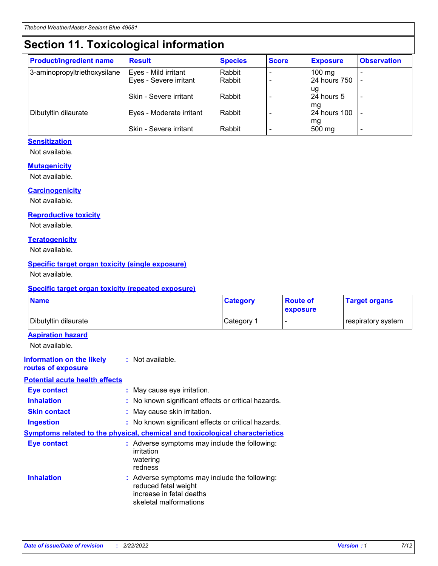## **Section 11. Toxicological information**

| <b>Product/ingredient name</b> | <b>Result</b>            | <b>Species</b> | <b>Score</b> | <b>Exposure</b>           | <b>Observation</b> |
|--------------------------------|--------------------------|----------------|--------------|---------------------------|--------------------|
| 3-aminopropyltriethoxysilane   | Eyes - Mild irritant     | Rabbit         |              | $100$ mg                  |                    |
|                                | Eyes - Severe irritant   | Rabbit         |              | 24 hours 750              |                    |
|                                |                          |                |              | ug                        |                    |
|                                | Skin - Severe irritant   | Rabbit         |              | 24 hours 5                | -                  |
| Dibutyltin dilaurate           | Eyes - Moderate irritant | Rabbit         |              | mq<br><b>24 hours 100</b> |                    |
|                                |                          |                |              | mg                        |                    |
|                                | Skin - Severe irritant   | Rabbit         |              | 500 mg                    |                    |

#### **Sensitization**

Not available.

#### **Mutagenicity**

Not available.

#### **Carcinogenicity**

Not available.

#### **Reproductive toxicity**

Not available.

#### **Teratogenicity**

Not available.

#### **Specific target organ toxicity (single exposure)**

Not available.

#### **Specific target organ toxicity (repeated exposure)**

| <b>Name</b>                                                                         |                                                                            | <b>Category</b>                                     | <b>Route of</b><br>exposure | <b>Target organs</b> |
|-------------------------------------------------------------------------------------|----------------------------------------------------------------------------|-----------------------------------------------------|-----------------------------|----------------------|
| Dibutyltin dilaurate                                                                |                                                                            | Category 1                                          |                             | respiratory system   |
| <b>Aspiration hazard</b><br>Not available.                                          |                                                                            |                                                     |                             |                      |
| <b>Information on the likely</b><br>routes of exposure                              | : Not available.                                                           |                                                     |                             |                      |
| <b>Potential acute health effects</b>                                               |                                                                            |                                                     |                             |                      |
| <b>Eye contact</b>                                                                  | : May cause eye irritation.                                                |                                                     |                             |                      |
| <b>Inhalation</b>                                                                   |                                                                            | : No known significant effects or critical hazards. |                             |                      |
| <b>Skin contact</b>                                                                 | : May cause skin irritation.                                               |                                                     |                             |                      |
| <b>Ingestion</b>                                                                    |                                                                            | : No known significant effects or critical hazards. |                             |                      |
| <b>Symptoms related to the physical, chemical and toxicological characteristics</b> |                                                                            |                                                     |                             |                      |
| <b>Eye contact</b>                                                                  | irritation<br>watering<br>redness                                          | : Adverse symptoms may include the following:       |                             |                      |
| <b>Inhalation</b>                                                                   | reduced fetal weight<br>increase in fetal deaths<br>skeletal malformations | : Adverse symptoms may include the following:       |                             |                      |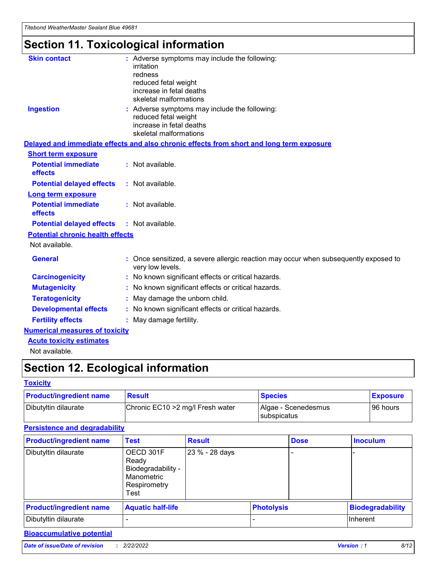## **Section 11. Toxicological information**

| <b>Skin contact</b>                     | : Adverse symptoms may include the following:<br>irritation<br>redness<br>reduced fetal weight<br>increase in fetal deaths<br>skeletal malformations |
|-----------------------------------------|------------------------------------------------------------------------------------------------------------------------------------------------------|
| <b>Ingestion</b>                        | : Adverse symptoms may include the following:<br>reduced fetal weight<br>increase in fetal deaths<br>skeletal malformations                          |
|                                         | Delayed and immediate effects and also chronic effects from short and long term exposure                                                             |
| <b>Short term exposure</b>              |                                                                                                                                                      |
| <b>Potential immediate</b><br>effects   | : Not available.                                                                                                                                     |
| <b>Potential delayed effects</b>        | : Not available.                                                                                                                                     |
| <b>Long term exposure</b>               |                                                                                                                                                      |
| <b>Potential immediate</b><br>effects   | : Not available.                                                                                                                                     |
| <b>Potential delayed effects</b>        | : Not available.                                                                                                                                     |
| <b>Potential chronic health effects</b> |                                                                                                                                                      |
| Not available.                          |                                                                                                                                                      |
| <b>General</b>                          | : Once sensitized, a severe allergic reaction may occur when subsequently exposed to<br>very low levels.                                             |
| <b>Carcinogenicity</b>                  | : No known significant effects or critical hazards.                                                                                                  |
| <b>Mutagenicity</b>                     | No known significant effects or critical hazards.                                                                                                    |
| <b>Teratogenicity</b>                   | May damage the unborn child.                                                                                                                         |
| <b>Developmental effects</b>            | No known significant effects or critical hazards.                                                                                                    |
| <b>Fertility effects</b>                | : May damage fertility.                                                                                                                              |
| <b>Numerical measures of toxicity</b>   |                                                                                                                                                      |
| <b>Acute toxicity estimates</b>         |                                                                                                                                                      |
|                                         |                                                                                                                                                      |

Not available.

## **Section 12. Ecological information**

#### **Toxicity**

| <b>Product/ingredient name</b> | <b>Result</b>                     | <b>Species</b>                       | <b>Exposure</b> |
|--------------------------------|-----------------------------------|--------------------------------------|-----------------|
| Dibutyltin dilaurate           | Chronic EC10 > 2 mg/l Fresh water | Algae - Scenedesmus<br>I subspicatus | l 96 hours      |

### **Persistence and degradability**

| <b>Product/ingredient name</b> | <b>Test</b>                                                                    | <b>Result</b>  |  | <b>Dose</b>       | <b>Inoculum</b>         |
|--------------------------------|--------------------------------------------------------------------------------|----------------|--|-------------------|-------------------------|
| Dibutyltin dilaurate           | OECD 301F<br>Ready<br>Biodegradability -<br>Manometric<br>Respirometry<br>Test | 23 % - 28 days |  |                   |                         |
| <b>Product/ingredient name</b> | <b>Aquatic half-life</b>                                                       |                |  | <b>Photolysis</b> | <b>Biodegradability</b> |
| Dibutyltin dilaurate           |                                                                                |                |  |                   | Inherent                |

### **Bioaccumulative potential**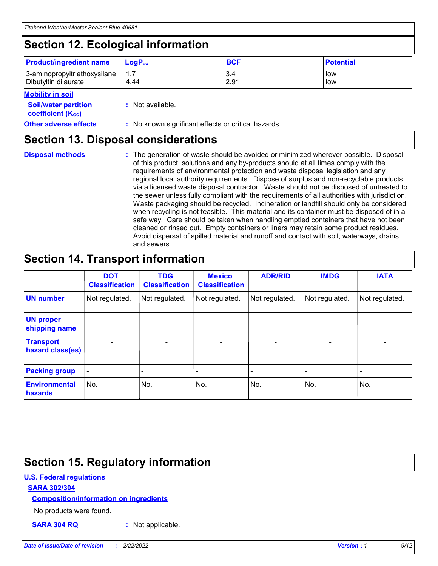## **Section 12. Ecological information**

| <b>Product/ingredient name</b> | $LoaPow$ | <b>BCF</b> | <b>Potential</b> |
|--------------------------------|----------|------------|------------------|
| 3-aminopropyltriethoxysilane   | 1.7      | 3.4        | low              |
| Dibutyltin dilaurate           | 4.44     | 2.91       | low              |

#### **Mobility in soil**

| <b>Soil/water partition</b><br>coefficient (K <sub>oc</sub> ) | : Not available.                                    |
|---------------------------------------------------------------|-----------------------------------------------------|
| <b>Other adverse effects</b>                                  | : No known significant effects or critical hazards. |

### **Section 13. Disposal considerations**

**Disposal methods :**

The generation of waste should be avoided or minimized wherever possible. Disposal of this product, solutions and any by-products should at all times comply with the requirements of environmental protection and waste disposal legislation and any regional local authority requirements. Dispose of surplus and non-recyclable products via a licensed waste disposal contractor. Waste should not be disposed of untreated to the sewer unless fully compliant with the requirements of all authorities with jurisdiction. Waste packaging should be recycled. Incineration or landfill should only be considered when recycling is not feasible. This material and its container must be disposed of in a safe way. Care should be taken when handling emptied containers that have not been cleaned or rinsed out. Empty containers or liners may retain some product residues. Avoid dispersal of spilled material and runoff and contact with soil, waterways, drains and sewers.

## **Section 14. Transport information**

|                                      | <b>DOT</b><br><b>Classification</b> | <b>TDG</b><br><b>Classification</b> | <b>Mexico</b><br><b>Classification</b> | <b>ADR/RID</b>           | <b>IMDG</b>              | <b>IATA</b>              |
|--------------------------------------|-------------------------------------|-------------------------------------|----------------------------------------|--------------------------|--------------------------|--------------------------|
| <b>UN number</b>                     | Not regulated.                      | Not regulated.                      | Not regulated.                         | Not regulated.           | Not regulated.           | Not regulated.           |
| <b>UN proper</b><br>shipping name    | $\qquad \qquad \blacksquare$        |                                     |                                        |                          |                          |                          |
| <b>Transport</b><br>hazard class(es) | $\blacksquare$                      | $\blacksquare$                      | $\blacksquare$                         | $\overline{\phantom{a}}$ | $\blacksquare$           | $\blacksquare$           |
| <b>Packing group</b>                 | $\overline{\phantom{a}}$            | $\overline{\phantom{0}}$            | $\qquad \qquad \blacksquare$           | -                        | $\overline{\phantom{0}}$ | $\overline{\phantom{a}}$ |
| <b>Environmental</b><br>hazards      | No.                                 | No.                                 | No.                                    | No.                      | No.                      | No.                      |

## **Section 15. Regulatory information**

#### **U.S. Federal regulations**

#### **SARA 302/304**

#### **Composition/information on ingredients**

No products were found.

**SARA 304 RQ :** Not applicable.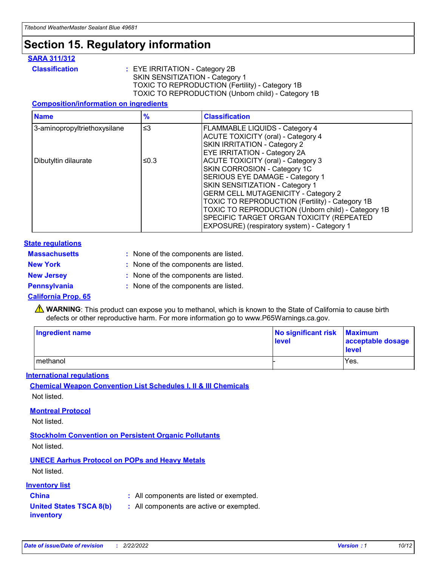## **Section 15. Regulatory information**

#### **SARA 311/312**

**Classification :** EYE IRRITATION - Category 2B SKIN SENSITIZATION - Category 1 TOXIC TO REPRODUCTION (Fertility) - Category 1B TOXIC TO REPRODUCTION (Unborn child) - Category 1B

#### **Composition/information on ingredients**

| <b>Name</b>                  | $\%$     | <b>Classification</b>                              |
|------------------------------|----------|----------------------------------------------------|
| 3-aminopropyltriethoxysilane | $\leq$ 3 | <b>FLAMMABLE LIQUIDS - Category 4</b>              |
|                              |          | <b>ACUTE TOXICITY (oral) - Category 4</b>          |
|                              |          | SKIN IRRITATION - Category 2                       |
|                              |          | EYE IRRITATION - Category 2A                       |
| Dibutyltin dilaurate         | ≤0.3     | ACUTE TOXICITY (oral) - Category 3                 |
|                              |          | SKIN CORROSION - Category 1C                       |
|                              |          | SERIOUS EYE DAMAGE - Category 1                    |
|                              |          | SKIN SENSITIZATION - Category 1                    |
|                              |          | <b>GERM CELL MUTAGENICITY - Category 2</b>         |
|                              |          | TOXIC TO REPRODUCTION (Fertility) - Category 1B    |
|                              |          | TOXIC TO REPRODUCTION (Unborn child) - Category 1B |
|                              |          | SPECIFIC TARGET ORGAN TOXICITY (REPEATED           |
|                              |          | EXPOSURE) (respiratory system) - Category 1        |

#### **State regulations**

| <b>Massachusetts</b> | : None of the components are listed. |
|----------------------|--------------------------------------|
| <b>New York</b>      | : None of the components are listed. |
| <b>New Jersey</b>    | : None of the components are listed. |
| <b>Pennsylvania</b>  | : None of the components are listed. |

#### **California Prop. 65**

**A** WARNING: This product can expose you to methanol, which is known to the State of California to cause birth defects or other reproductive harm. For more information go to www.P65Warnings.ca.gov.

| <b>Ingredient name</b> | No significant risk Maximum<br>level | acceptable dosage<br>level |
|------------------------|--------------------------------------|----------------------------|
| methanol               |                                      | Yes.                       |

#### **International regulations**

**Chemical Weapon Convention List Schedules I, II & III Chemicals** Not listed.

#### **Montreal Protocol**

Not listed.

**Stockholm Convention on Persistent Organic Pollutants**

Not listed.

### **UNECE Aarhus Protocol on POPs and Heavy Metals**

Not listed.

#### **Inventory list**

### **China :** All components are listed or exempted.

**United States TSCA 8(b) inventory :** All components are active or exempted.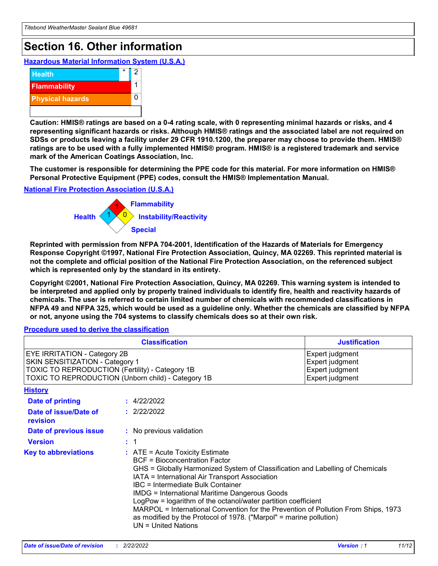## **Section 16. Other information**

**Hazardous Material Information System (U.S.A.)**



**Caution: HMIS® ratings are based on a 0-4 rating scale, with 0 representing minimal hazards or risks, and 4 representing significant hazards or risks. Although HMIS® ratings and the associated label are not required on SDSs or products leaving a facility under 29 CFR 1910.1200, the preparer may choose to provide them. HMIS® ratings are to be used with a fully implemented HMIS® program. HMIS® is a registered trademark and service mark of the American Coatings Association, Inc.**

**The customer is responsible for determining the PPE code for this material. For more information on HMIS® Personal Protective Equipment (PPE) codes, consult the HMIS® Implementation Manual.**

#### **National Fire Protection Association (U.S.A.)**



**Reprinted with permission from NFPA 704-2001, Identification of the Hazards of Materials for Emergency Response Copyright ©1997, National Fire Protection Association, Quincy, MA 02269. This reprinted material is not the complete and official position of the National Fire Protection Association, on the referenced subject which is represented only by the standard in its entirety.**

**Copyright ©2001, National Fire Protection Association, Quincy, MA 02269. This warning system is intended to be interpreted and applied only by properly trained individuals to identify fire, health and reactivity hazards of chemicals. The user is referred to certain limited number of chemicals with recommended classifications in NFPA 49 and NFPA 325, which would be used as a guideline only. Whether the chemicals are classified by NFPA or not, anyone using the 704 systems to classify chemicals does so at their own risk.**

#### **Procedure used to derive the classification**

| <b>Classification</b>                                                                                                     |                                                                                                                                                                                                                                                                                                                                                                                                                                                                                                                                                                          | <b>Justification</b>                                                     |
|---------------------------------------------------------------------------------------------------------------------------|--------------------------------------------------------------------------------------------------------------------------------------------------------------------------------------------------------------------------------------------------------------------------------------------------------------------------------------------------------------------------------------------------------------------------------------------------------------------------------------------------------------------------------------------------------------------------|--------------------------------------------------------------------------|
| <b>EYE IRRITATION - Category 2B</b><br>SKIN SENSITIZATION - Category 1<br>TOXIC TO REPRODUCTION (Fertility) - Category 1B | TOXIC TO REPRODUCTION (Unborn child) - Category 1B                                                                                                                                                                                                                                                                                                                                                                                                                                                                                                                       | Expert judgment<br>Expert judgment<br>Expert judgment<br>Expert judgment |
| <b>History</b>                                                                                                            |                                                                                                                                                                                                                                                                                                                                                                                                                                                                                                                                                                          |                                                                          |
| <b>Date of printing</b>                                                                                                   | : 4/22/2022                                                                                                                                                                                                                                                                                                                                                                                                                                                                                                                                                              |                                                                          |
| Date of issue/Date of<br>revision                                                                                         | : 2/22/2022                                                                                                                                                                                                                                                                                                                                                                                                                                                                                                                                                              |                                                                          |
| Date of previous issue                                                                                                    | : No previous validation                                                                                                                                                                                                                                                                                                                                                                                                                                                                                                                                                 |                                                                          |
| <b>Version</b>                                                                                                            | $\therefore$ 1                                                                                                                                                                                                                                                                                                                                                                                                                                                                                                                                                           |                                                                          |
| <b>Key to abbreviations</b>                                                                                               | $\therefore$ ATE = Acute Toxicity Estimate<br><b>BCF</b> = Bioconcentration Factor<br>GHS = Globally Harmonized System of Classification and Labelling of Chemicals<br>IATA = International Air Transport Association<br>IBC = Intermediate Bulk Container<br><b>IMDG = International Maritime Dangerous Goods</b><br>LogPow = logarithm of the octanol/water partition coefficient<br>MARPOL = International Convention for the Prevention of Pollution From Ships, 1973<br>as modified by the Protocol of 1978. ("Marpol" = marine pollution)<br>$UN = United Nations$ |                                                                          |